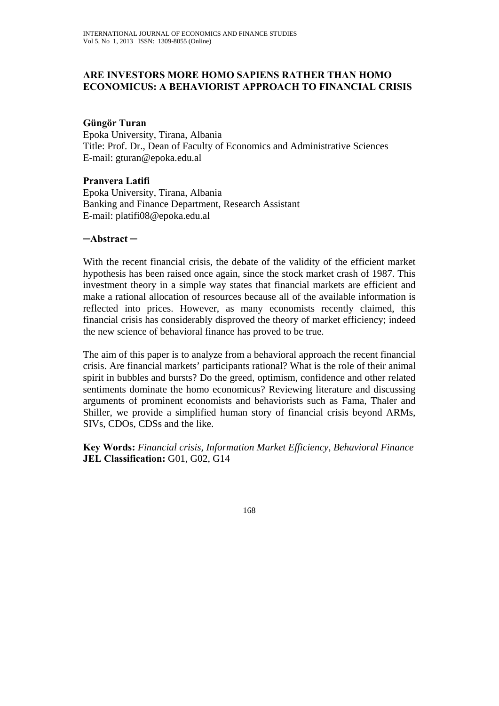# **ARE INVESTORS MORE HOMO SAPIENS RATHER THAN HOMO ECONOMICUS: A BEHAVIORIST APPROACH TO FINANCIAL CRISIS**

# **Güngör Turan**

Epoka University, Tirana, Albania Title: Prof. Dr., Dean of Faculty of Economics and Administrative Sciences E-mail: gturan@epoka.edu.al

# **Pranvera Latifi**

Epoka University, Tirana, Albania Banking and Finance Department, Research Assistant E-mail: platifi08@epoka.edu.al

# **─Abstract ─**

With the recent financial crisis, the debate of the validity of the efficient market hypothesis has been raised once again, since the stock market crash of 1987. This investment theory in a simple way states that financial markets are efficient and make a rational allocation of resources because all of the available information is reflected into prices. However, as many economists recently claimed, this financial crisis has considerably disproved the theory of market efficiency; indeed the new science of behavioral finance has proved to be true.

The aim of this paper is to analyze from a behavioral approach the recent financial crisis. Are financial markets' participants rational? What is the role of their animal spirit in bubbles and bursts? Do the greed, optimism, confidence and other related sentiments dominate the homo economicus? Reviewing literature and discussing arguments of prominent economists and behaviorists such as Fama, Thaler and Shiller, we provide a simplified human story of financial crisis beyond ARMs, SIVs, CDOs, CDSs and the like.

**Key Words:** *Financial crisis, Information Market Efficiency, Behavioral Finance*  **JEL Classification:** G01, G02, G14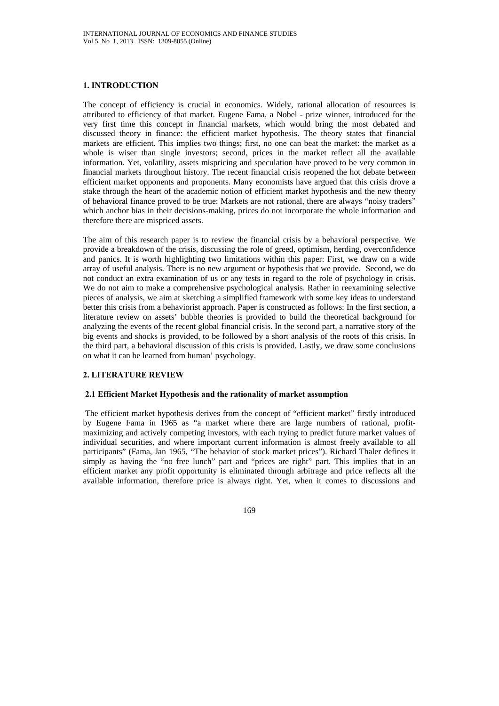### **1. INTRODUCTION**

The concept of efficiency is crucial in economics. Widely, rational allocation of resources is attributed to efficiency of that market. Eugene Fama, a Nobel - prize winner, introduced for the very first time this concept in financial markets, which would bring the most debated and discussed theory in finance: the efficient market hypothesis. The theory states that financial markets are efficient. This implies two things; first, no one can beat the market: the market as a whole is wiser than single investors; second, prices in the market reflect all the available information. Yet, volatility, assets mispricing and speculation have proved to be very common in financial markets throughout history. The recent financial crisis reopened the hot debate between efficient market opponents and proponents. Many economists have argued that this crisis drove a stake through the heart of the academic notion of efficient market hypothesis and the new theory of behavioral finance proved to be true: Markets are not rational, there are always "noisy traders" which anchor bias in their decisions-making, prices do not incorporate the whole information and therefore there are mispriced assets.

The aim of this research paper is to review the financial crisis by a behavioral perspective. We provide a breakdown of the crisis, discussing the role of greed, optimism, herding, overconfidence and panics. It is worth highlighting two limitations within this paper: First, we draw on a wide array of useful analysis. There is no new argument or hypothesis that we provide. Second, we do not conduct an extra examination of us or any tests in regard to the role of psychology in crisis. We do not aim to make a comprehensive psychological analysis. Rather in reexamining selective pieces of analysis, we aim at sketching a simplified framework with some key ideas to understand better this crisis from a behaviorist approach. Paper is constructed as follows: In the first section, a literature review on assets' bubble theories is provided to build the theoretical background for analyzing the events of the recent global financial crisis. In the second part, a narrative story of the big events and shocks is provided, to be followed by a short analysis of the roots of this crisis. In the third part, a behavioral discussion of this crisis is provided. Lastly, we draw some conclusions on what it can be learned from human' psychology.

## **2. LITERATURE REVIEW**

#### **2.1 Efficient Market Hypothesis and the rationality of market assumption**

The efficient market hypothesis derives from the concept of "efficient market" firstly introduced by Eugene Fama in 1965 as "a market where there are large numbers of rational, profitmaximizing and actively competing investors, with each trying to predict future market values of individual securities, and where important current information is almost freely available to all participants" (Fama, Jan 1965, "The behavior of stock market prices"). Richard Thaler defines it simply as having the "no free lunch" part and "prices are right" part. This implies that in an efficient market any profit opportunity is eliminated through arbitrage and price reflects all the available information, therefore price is always right. Yet, when it comes to discussions and

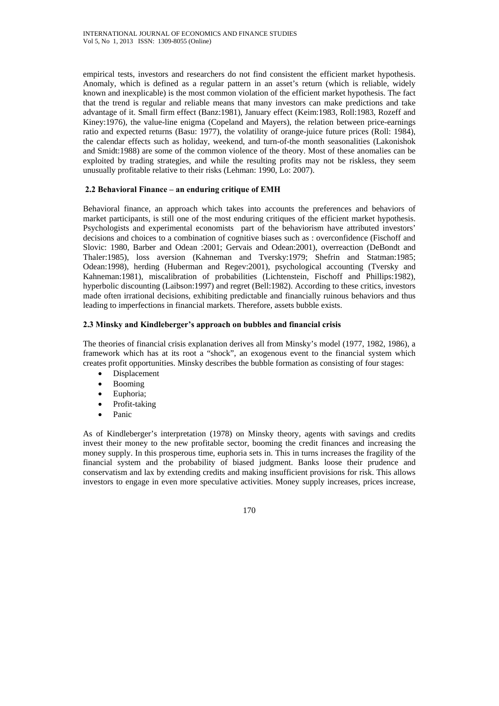empirical tests, investors and researchers do not find consistent the efficient market hypothesis. Anomaly, which is defined as a regular pattern in an asset's return (which is reliable, widely known and inexplicable) is the most common violation of the efficient market hypothesis. The fact that the trend is regular and reliable means that many investors can make predictions and take advantage of it. Small firm effect (Banz:1981), January effect (Keim:1983, Roll:1983, Rozeff and Kiney:1976), the value-line enigma (Copeland and Mayers), the relation between price-earnings ratio and expected returns (Basu: 1977), the volatility of orange-juice future prices (Roll: 1984), the calendar effects such as holiday, weekend, and turn-of-the month seasonalities (Lakonishok and Smidt:1988) are some of the common violence of the theory. Most of these anomalies can be exploited by trading strategies, and while the resulting profits may not be riskless, they seem unusually profitable relative to their risks (Lehman: 1990, Lo: 2007).

## **2.2 Behavioral Finance – an enduring critique of EMH**

Behavioral finance, an approach which takes into accounts the preferences and behaviors of market participants, is still one of the most enduring critiques of the efficient market hypothesis. Psychologists and experimental economists part of the behaviorism have attributed investors' decisions and choices to a combination of cognitive biases such as : overconfidence (Fischoff and Slovic: 1980, Barber and Odean :2001; Gervais and Odean:2001), overreaction (DeBondt and Thaler:1985), loss aversion (Kahneman and Tversky:1979; Shefrin and Statman:1985; Odean:1998), herding (Huberman and Regev:2001), psychological accounting (Tversky and Kahneman:1981), miscalibration of probabilities (Lichtenstein, Fischoff and Phillips:1982), hyperbolic discounting (Laibson:1997) and regret (Bell:1982). According to these critics, investors made often irrational decisions, exhibiting predictable and financially ruinous behaviors and thus leading to imperfections in financial markets. Therefore, assets bubble exists.

## **2.3 Minsky and Kindleberger's approach on bubbles and financial crisis**

The theories of financial crisis explanation derives all from Minsky's model (1977, 1982, 1986), a framework which has at its root a "shock", an exogenous event to the financial system which creates profit opportunities. Minsky describes the bubble formation as consisting of four stages:

- Displacement
- Booming
- Euphoria;
- Profit-taking
- Panic

As of Kindleberger's interpretation (1978) on Minsky theory, agents with savings and credits invest their money to the new profitable sector, booming the credit finances and increasing the money supply. In this prosperous time, euphoria sets in. This in turns increases the fragility of the financial system and the probability of biased judgment. Banks loose their prudence and conservatism and lax by extending credits and making insufficient provisions for risk. This allows investors to engage in even more speculative activities. Money supply increases, prices increase,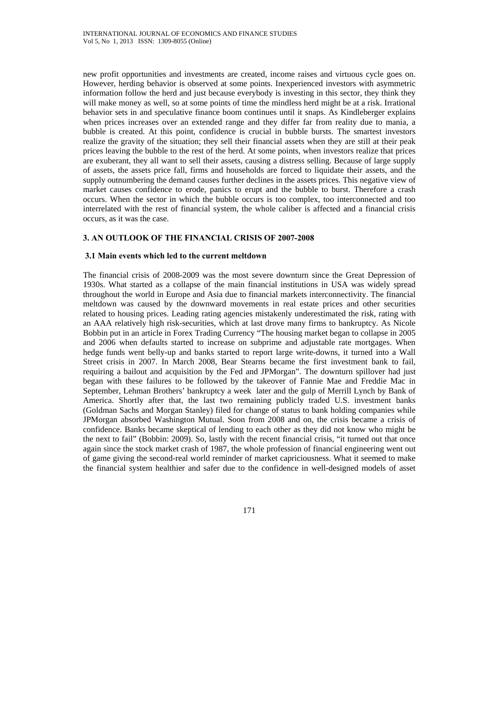new profit opportunities and investments are created, income raises and virtuous cycle goes on. However, herding behavior is observed at some points. Inexperienced investors with asymmetric information follow the herd and just because everybody is investing in this sector, they think they will make money as well, so at some points of time the mindless herd might be at a risk. Irrational behavior sets in and speculative finance boom continues until it snaps. As Kindleberger explains when prices increases over an extended range and they differ far from reality due to mania, a bubble is created. At this point, confidence is crucial in bubble bursts. The smartest investors realize the gravity of the situation; they sell their financial assets when they are still at their peak prices leaving the bubble to the rest of the herd. At some points, when investors realize that prices are exuberant, they all want to sell their assets, causing a distress selling. Because of large supply of assets, the assets price fall, firms and households are forced to liquidate their assets, and the supply outnumbering the demand causes further declines in the assets prices. This negative view of market causes confidence to erode, panics to erupt and the bubble to burst. Therefore a crash occurs. When the sector in which the bubble occurs is too complex, too interconnected and too interrelated with the rest of financial system, the whole caliber is affected and a financial crisis occurs, as it was the case.

## **3. AN OUTLOOK OF THE FINANCIAL CRISIS OF 2007-2008**

### **3.1 Main events which led to the current meltdown**

The financial crisis of 2008-2009 was the most severe downturn since the Great Depression of 1930s. What started as a collapse of the main financial institutions in USA was widely spread throughout the world in Europe and Asia due to financial markets interconnectivity. The financial meltdown was caused by the downward movements in real estate prices and other securities related to housing prices. Leading rating agencies mistakenly underestimated the risk, rating with an AAA relatively high risk-securities, which at last drove many firms to bankruptcy. As Nicole Bobbin put in an article in Forex Trading Currency "The housing market began to collapse in 2005 and 2006 when defaults started to increase on subprime and adjustable rate mortgages. When hedge funds went belly-up and banks started to report large write-downs, it turned into a Wall Street crisis in 2007. In March 2008, Bear Stearns became the first investment bank to fail, requiring a bailout and acquisition by the Fed and JPMorgan". The downturn spillover had just began with these failures to be followed by the takeover of Fannie Mae and Freddie Mac in September, Lehman Brothers' bankruptcy a week later and the gulp of Merrill Lynch by Bank of America. Shortly after that, the last two remaining publicly traded U.S. investment banks (Goldman Sachs and Morgan Stanley) filed for change of status to bank holding companies while JPMorgan absorbed Washington Mutual. Soon from 2008 and on, the crisis became a crisis of confidence. Banks became skeptical of lending to each other as they did not know who might be the next to fail" (Bobbin: 2009). So, lastly with the recent financial crisis, "it turned out that once again since the stock market crash of 1987, the whole profession of financial engineering went out of game giving the second-real world reminder of market capriciousness. What it seemed to make the financial system healthier and safer due to the confidence in well-designed models of asset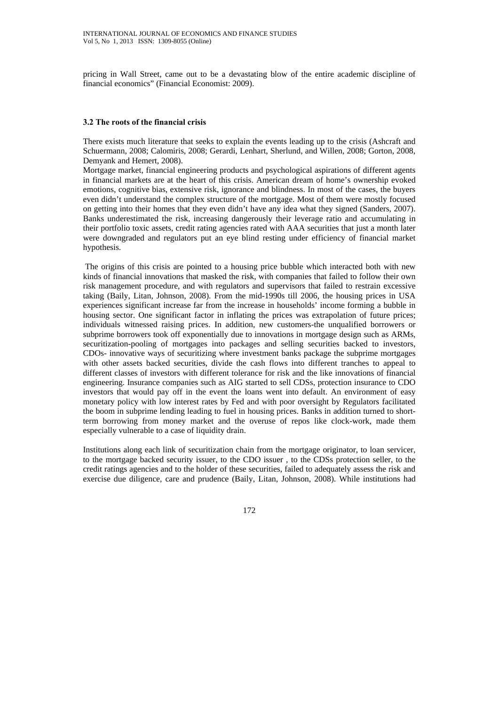pricing in Wall Street, came out to be a devastating blow of the entire academic discipline of financial economics" (Financial Economist: 2009).

### **3.2 The roots of the financial crisis**

There exists much literature that seeks to explain the events leading up to the crisis (Ashcraft and Schuermann, 2008; Calomiris, 2008; Gerardi, Lenhart, Sherlund, and Willen, 2008; Gorton, 2008, Demyank and Hemert, 2008).

Mortgage market, financial engineering products and psychological aspirations of different agents in financial markets are at the heart of this crisis. American dream of home's ownership evoked emotions, cognitive bias, extensive risk, ignorance and blindness. In most of the cases, the buyers even didn't understand the complex structure of the mortgage. Most of them were mostly focused on getting into their homes that they even didn't have any idea what they signed (Sanders, 2007). Banks underestimated the risk, increasing dangerously their leverage ratio and accumulating in their portfolio toxic assets, credit rating agencies rated with AAA securities that just a month later were downgraded and regulators put an eye blind resting under efficiency of financial market hypothesis.

 The origins of this crisis are pointed to a housing price bubble which interacted both with new kinds of financial innovations that masked the risk, with companies that failed to follow their own risk management procedure, and with regulators and supervisors that failed to restrain excessive taking (Baily, Litan, Johnson, 2008). From the mid-1990s till 2006, the housing prices in USA experiences significant increase far from the increase in households' income forming a bubble in housing sector. One significant factor in inflating the prices was extrapolation of future prices; individuals witnessed raising prices. In addition, new customers-the unqualified borrowers or subprime borrowers took off exponentially due to innovations in mortgage design such as ARMs, securitization-pooling of mortgages into packages and selling securities backed to investors, CDOs- innovative ways of securitizing where investment banks package the subprime mortgages with other assets backed securities, divide the cash flows into different tranches to appeal to different classes of investors with different tolerance for risk and the like innovations of financial engineering. Insurance companies such as AIG started to sell CDSs, protection insurance to CDO investors that would pay off in the event the loans went into default. An environment of easy monetary policy with low interest rates by Fed and with poor oversight by Regulators facilitated the boom in subprime lending leading to fuel in housing prices. Banks in addition turned to shortterm borrowing from money market and the overuse of repos like clock-work, made them especially vulnerable to a case of liquidity drain.

Institutions along each link of securitization chain from the mortgage originator, to loan servicer, to the mortgage backed security issuer, to the CDO issuer , to the CDSs protection seller, to the credit ratings agencies and to the holder of these securities, failed to adequately assess the risk and exercise due diligence, care and prudence (Baily, Litan, Johnson, 2008). While institutions had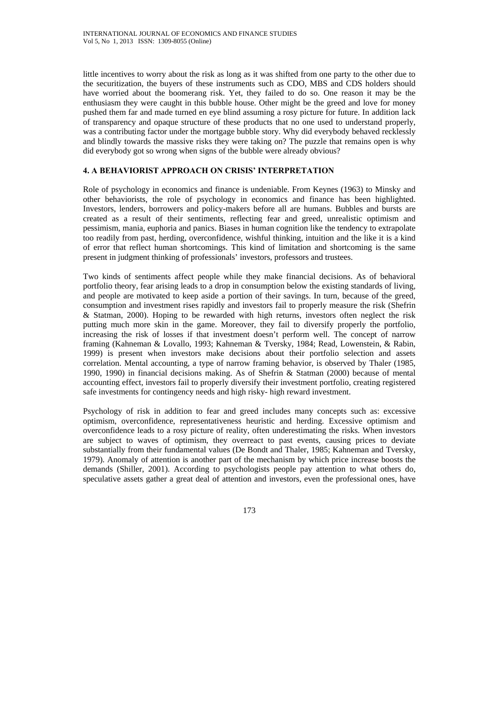little incentives to worry about the risk as long as it was shifted from one party to the other due to the securitization, the buyers of these instruments such as CDO, MBS and CDS holders should have worried about the boomerang risk. Yet, they failed to do so. One reason it may be the enthusiasm they were caught in this bubble house. Other might be the greed and love for money pushed them far and made turned en eye blind assuming a rosy picture for future. In addition lack of transparency and opaque structure of these products that no one used to understand properly, was a contributing factor under the mortgage bubble story. Why did everybody behaved recklessly and blindly towards the massive risks they were taking on? The puzzle that remains open is why did everybody got so wrong when signs of the bubble were already obvious?

## **4. A BEHAVIORIST APPROACH ON CRISIS' INTERPRETATION**

Role of psychology in economics and finance is undeniable. From Keynes (1963) to Minsky and other behaviorists, the role of psychology in economics and finance has been highlighted. Investors, lenders, borrowers and policy-makers before all are humans. Bubbles and bursts are created as a result of their sentiments, reflecting fear and greed, unrealistic optimism and pessimism, mania, euphoria and panics. Biases in human cognition like the tendency to extrapolate too readily from past, herding, overconfidence, wishful thinking, intuition and the like it is a kind of error that reflect human shortcomings. This kind of limitation and shortcoming is the same present in judgment thinking of professionals' investors, professors and trustees.

Two kinds of sentiments affect people while they make financial decisions. As of behavioral portfolio theory, fear arising leads to a drop in consumption below the existing standards of living, and people are motivated to keep aside a portion of their savings. In turn, because of the greed, consumption and investment rises rapidly and investors fail to properly measure the risk (Shefrin & Statman, 2000). Hoping to be rewarded with high returns, investors often neglect the risk putting much more skin in the game. Moreover, they fail to diversify properly the portfolio, increasing the risk of losses if that investment doesn't perform well. The concept of narrow framing (Kahneman & Lovallo, 1993; Kahneman & Tversky, 1984; Read, Lowenstein, & Rabin, 1999) is present when investors make decisions about their portfolio selection and assets correlation. Mental accounting, a type of narrow framing behavior, is observed by Thaler (1985, 1990, 1990) in financial decisions making. As of Shefrin & Statman (2000) because of mental accounting effect, investors fail to properly diversify their investment portfolio, creating registered safe investments for contingency needs and high risky- high reward investment.

Psychology of risk in addition to fear and greed includes many concepts such as: excessive optimism, overconfidence, representativeness heuristic and herding. Excessive optimism and overconfidence leads to a rosy picture of reality, often underestimating the risks. When investors are subject to waves of optimism, they overreact to past events, causing prices to deviate substantially from their fundamental values (De Bondt and Thaler, 1985; Kahneman and Tversky, 1979). Anomaly of attention is another part of the mechanism by which price increase boosts the demands (Shiller, 2001). According to psychologists people pay attention to what others do, speculative assets gather a great deal of attention and investors, even the professional ones, have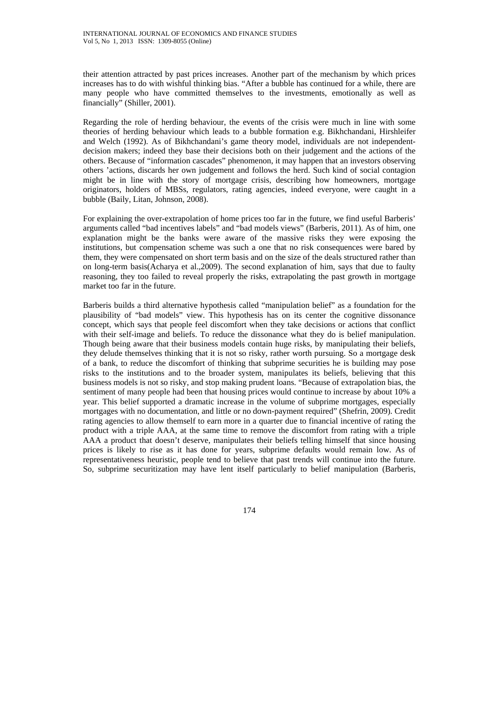their attention attracted by past prices increases. Another part of the mechanism by which prices increases has to do with wishful thinking bias. "After a bubble has continued for a while, there are many people who have committed themselves to the investments, emotionally as well as financially" (Shiller, 2001).

Regarding the role of herding behaviour, the events of the crisis were much in line with some theories of herding behaviour which leads to a bubble formation e.g. Bikhchandani, Hirshleifer and Welch (1992). As of Bikhchandani's game theory model, individuals are not independentdecision makers; indeed they base their decisions both on their judgement and the actions of the others. Because of "information cascades" phenomenon, it may happen that an investors observing others 'actions, discards her own judgement and follows the herd. Such kind of social contagion might be in line with the story of mortgage crisis, describing how homeowners, mortgage originators, holders of MBSs, regulators, rating agencies, indeed everyone, were caught in a bubble (Baily, Litan, Johnson, 2008).

For explaining the over-extrapolation of home prices too far in the future, we find useful Barberis' arguments called "bad incentives labels" and "bad models views" (Barberis, 2011). As of him, one explanation might be the banks were aware of the massive risks they were exposing the institutions, but compensation scheme was such a one that no risk consequences were bared by them, they were compensated on short term basis and on the size of the deals structured rather than on long-term basis(Acharya et al.,2009). The second explanation of him, says that due to faulty reasoning, they too failed to reveal properly the risks, extrapolating the past growth in mortgage market too far in the future.

Barberis builds a third alternative hypothesis called "manipulation belief" as a foundation for the plausibility of "bad models" view. This hypothesis has on its center the cognitive dissonance concept, which says that people feel discomfort when they take decisions or actions that conflict with their self-image and beliefs. To reduce the dissonance what they do is belief manipulation. Though being aware that their business models contain huge risks, by manipulating their beliefs, they delude themselves thinking that it is not so risky, rather worth pursuing. So a mortgage desk of a bank, to reduce the discomfort of thinking that subprime securities he is building may pose risks to the institutions and to the broader system, manipulates its beliefs, believing that this business models is not so risky, and stop making prudent loans. "Because of extrapolation bias, the sentiment of many people had been that housing prices would continue to increase by about 10% a year. This belief supported a dramatic increase in the volume of subprime mortgages, especially mortgages with no documentation, and little or no down-payment required" (Shefrin, 2009). Credit rating agencies to allow themself to earn more in a quarter due to financial incentive of rating the product with a triple AAA, at the same time to remove the discomfort from rating with a triple AAA a product that doesn't deserve, manipulates their beliefs telling himself that since housing prices is likely to rise as it has done for years, subprime defaults would remain low. As of representativeness heuristic, people tend to believe that past trends will continue into the future. So, subprime securitization may have lent itself particularly to belief manipulation (Barberis,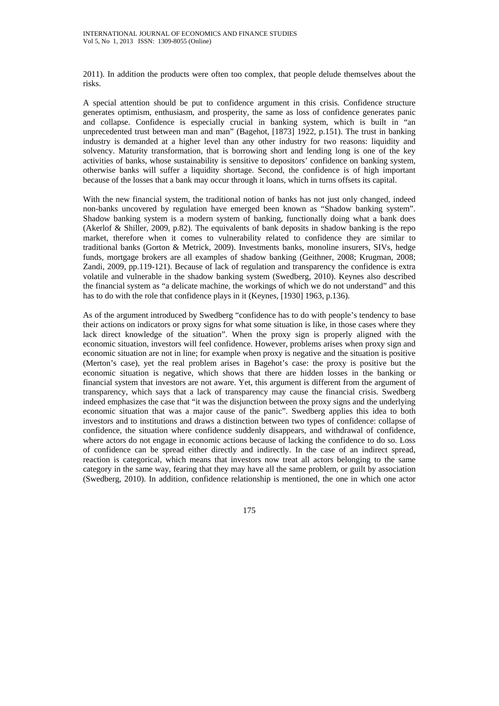2011). In addition the products were often too complex, that people delude themselves about the risks.

A special attention should be put to confidence argument in this crisis. Confidence structure generates optimism, enthusiasm, and prosperity, the same as loss of confidence generates panic and collapse. Confidence is especially crucial in banking system, which is built in "an unprecedented trust between man and man" (Bagehot, [1873] 1922, p.151). The trust in banking industry is demanded at a higher level than any other industry for two reasons: liquidity and solvency. Maturity transformation, that is borrowing short and lending long is one of the key activities of banks, whose sustainability is sensitive to depositors' confidence on banking system, otherwise banks will suffer a liquidity shortage. Second, the confidence is of high important because of the losses that a bank may occur through it loans, which in turns offsets its capital.

With the new financial system, the traditional notion of banks has not just only changed, indeed non-banks uncovered by regulation have emerged been known as "Shadow banking system". Shadow banking system is a modern system of banking, functionally doing what a bank does (Akerlof & Shiller, 2009, p.82). The equivalents of bank deposits in shadow banking is the repo market, therefore when it comes to vulnerability related to confidence they are similar to traditional banks (Gorton & Metrick, 2009). Investments banks, monoline insurers, SIVs, hedge funds, mortgage brokers are all examples of shadow banking (Geithner, 2008; Krugman, 2008; Zandi, 2009, pp.119-121). Because of lack of regulation and transparency the confidence is extra volatile and vulnerable in the shadow banking system (Swedberg, 2010). Keynes also described the financial system as "a delicate machine, the workings of which we do not understand" and this has to do with the role that confidence plays in it (Keynes, [1930] 1963, p.136).

As of the argument introduced by Swedberg "confidence has to do with people's tendency to base their actions on indicators or proxy signs for what some situation is like, in those cases where they lack direct knowledge of the situation". When the proxy sign is properly aligned with the economic situation, investors will feel confidence. However, problems arises when proxy sign and economic situation are not in line; for example when proxy is negative and the situation is positive (Merton's case), yet the real problem arises in Bagehot's case: the proxy is positive but the economic situation is negative, which shows that there are hidden losses in the banking or financial system that investors are not aware. Yet, this argument is different from the argument of transparency, which says that a lack of transparency may cause the financial crisis. Swedberg indeed emphasizes the case that "it was the disjunction between the proxy signs and the underlying economic situation that was a major cause of the panic". Swedberg applies this idea to both investors and to institutions and draws a distinction between two types of confidence: collapse of confidence, the situation where confidence suddenly disappears, and withdrawal of confidence, where actors do not engage in economic actions because of lacking the confidence to do so. Loss of confidence can be spread either directly and indirectly. In the case of an indirect spread, reaction is categorical, which means that investors now treat all actors belonging to the same category in the same way, fearing that they may have all the same problem, or guilt by association (Swedberg, 2010). In addition, confidence relationship is mentioned, the one in which one actor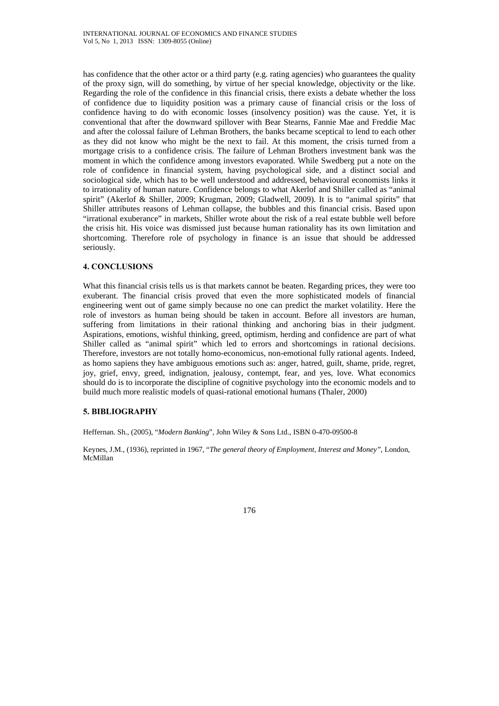has confidence that the other actor or a third party (e.g. rating agencies) who guarantees the quality of the proxy sign, will do something, by virtue of her special knowledge, objectivity or the like. Regarding the role of the confidence in this financial crisis, there exists a debate whether the loss of confidence due to liquidity position was a primary cause of financial crisis or the loss of confidence having to do with economic losses (insolvency position) was the cause. Yet, it is conventional that after the downward spillover with Bear Stearns, Fannie Mae and Freddie Mac and after the colossal failure of Lehman Brothers, the banks became sceptical to lend to each other as they did not know who might be the next to fail. At this moment, the crisis turned from a mortgage crisis to a confidence crisis. The failure of Lehman Brothers investment bank was the moment in which the confidence among investors evaporated. While Swedberg put a note on the role of confidence in financial system, having psychological side, and a distinct social and sociological side, which has to be well understood and addressed, behavioural economists links it to irrationality of human nature. Confidence belongs to what Akerlof and Shiller called as "animal spirit" (Akerlof & Shiller, 2009; Krugman, 2009; Gladwell, 2009). It is to "animal spirits" that Shiller attributes reasons of Lehman collapse, the bubbles and this financial crisis. Based upon "irrational exuberance" in markets, Shiller wrote about the risk of a real estate bubble well before the crisis hit. His voice was dismissed just because human rationality has its own limitation and shortcoming. Therefore role of psychology in finance is an issue that should be addressed seriously.

## **4. CONCLUSIONS**

What this financial crisis tells us is that markets cannot be beaten. Regarding prices, they were too exuberant. The financial crisis proved that even the more sophisticated models of financial engineering went out of game simply because no one can predict the market volatility. Here the role of investors as human being should be taken in account. Before all investors are human, suffering from limitations in their rational thinking and anchoring bias in their judgment. Aspirations, emotions, wishful thinking, greed, optimism, herding and confidence are part of what Shiller called as "animal spirit" which led to errors and shortcomings in rational decisions. Therefore, investors are not totally homo-economicus, non-emotional fully rational agents. Indeed, as homo sapiens they have ambiguous emotions such as: anger, hatred, guilt, shame, pride, regret, joy, grief, envy, greed, indignation, jealousy, contempt, fear, and yes, love. What economics should do is to incorporate the discipline of cognitive psychology into the economic models and to build much more realistic models of quasi-rational emotional humans (Thaler, 2000)

## **5. BIBLIOGRAPHY**

Heffernan. Sh., (2005), "*Modern Banking*", John Wiley & Sons Ltd., ISBN 0-470-09500-8

Keynes, J.M., (1936), reprinted in 1967, "*The general theory of Employment, Interest and Money"*, London, McMillan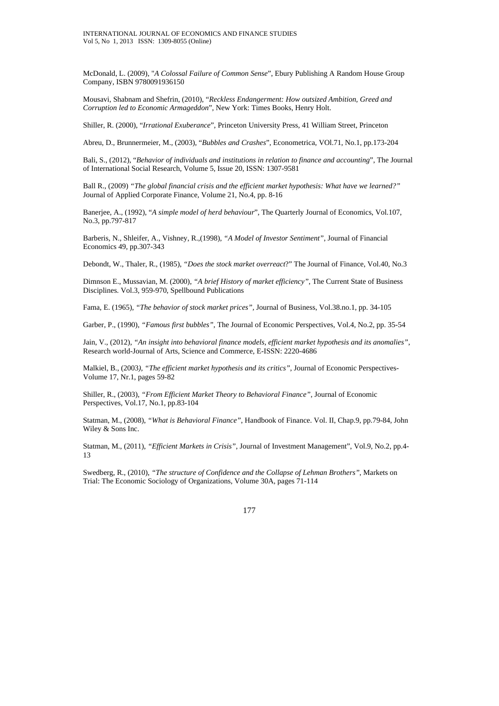McDonald, L. (2009), "*A Colossal Failure of Common Sense*", Ebury Publishing A Random House Group Company, ISBN 9780091936150

Mousavi, Shabnam and Shefrin, (2010), "*Reckless Endangerment: How outsized Ambition, Greed and Corruption led to Economic Armageddon*", New York: Times Books, Henry Holt.

Shiller, R. (2000), "*Irrational Exuberance*", Princeton University Press, 41 William Street, Princeton

Abreu, D., Brunnermeier, M., (2003), "*Bubbles and Crashes*", Econometrica, VOl.71, No.1, pp.173-204

Bali, S., (2012), "*Behavior of individuals and institutions in relation to finance and accounting*", The Journal of International Social Research, Volume 5, Issue 20, ISSN: 1307-9581

Ball R., (2009) *"The global financial crisis and the efficient market hypothesis: What have we learned?"*  Journal of Applied Corporate Finance, Volume 21, No.4, pp. 8-16

Banerjee, A., (1992), "*A simple model of herd behaviour*", The Quarterly Journal of Economics, Vol.107, No.3, pp.797-817

Barberis, N., Shleifer, A., Vishney, R.,(1998), *"A Model of Investor Sentiment"*, Journal of Financial Economics 49, pp.307-343

Debondt, W., Thaler, R., (1985), *"Does the stock market overreact*?" The Journal of Finance, Vol.40, No.3

Dimnson E., Mussavian, M. (2000), *"A brief History of market efficiency"*, The Current State of Business Disciplines. Vol.3, 959-970, Spellbound Publications

Fama, E. (1965), *"The behavior of stock market prices",* Journal of Business, Vol.38.no.1, pp. 34-105

Garber, P., (1990), *"Famous first bubbles"*, The Journal of Economic Perspectives, Vol.4, No.2, pp. 35-54

Jain, V., (2012), *"An insight into behavioral finance models, efficient market hypothesis and its anomalies"*, Research world-Journal of Arts, Science and Commerce, E-ISSN: 2220-4686

Malkiel, B., (2003*), "The efficient market hypothesis and its critics"*, Journal of Economic Perspectives-Volume 17, Nr.1, pages 59-82

Shiller, R., (2003), *"From Efficient Market Theory to Behavioral Finance"*, Journal of Economic Perspectives, Vol.17, No.1, pp.83-104

Statman, M., (2008), *"What is Behavioral Finance"*, Handbook of Finance. Vol. II, Chap.9, pp.79-84, John Wiley & Sons Inc.

Statman, M., (2011), *"Efficient Markets in Crisis"*, Journal of Investment Management", Vol.9, No.2, pp.4- 13

Swedberg, R., (2010), *"The structure of Confidence and the Collapse of Lehman Brothers"*, Markets on Trial: The Economic Sociology of Organizations, Volume 30A, pages 71-114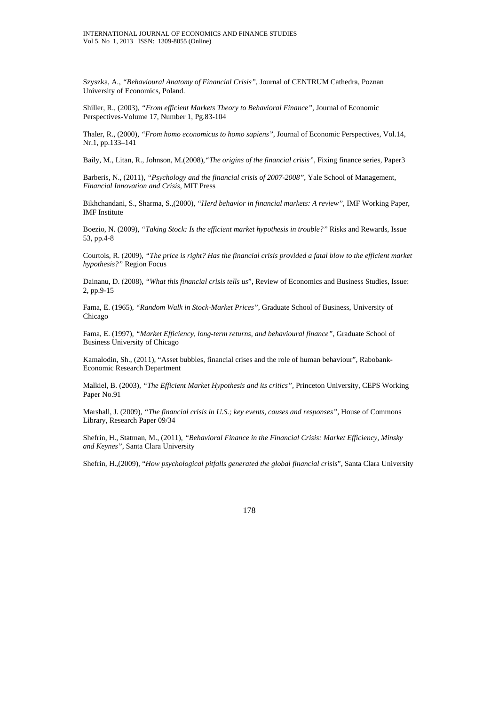Szyszka, A., *"Behavioural Anatomy of Financial Crisis",* Journal of CENTRUM Cathedra, Poznan University of Economics, Poland.

Shiller, R., (2003), *"From efficient Markets Theory to Behavioral Finance"*, Journal of Economic Perspectives-Volume 17, Number 1, Pg.83-104

Thaler, R., (2000), *"From homo economicus to homo sapiens"*, Journal of Economic Perspectives, Vol.14, Nr.1, pp.133–141

Baily, M., Litan, R., Johnson, M.(2008),*"The origins of the financial crisis",* Fixing finance series, Paper3

Barberis, N., (2011), *"Psychology and the financial crisis of 2007-2008"*, Yale School of Management, *Financial Innovation and Crisis,* MIT Press

Bikhchandani, S., Sharma, S.,(2000), *"Herd behavior in financial markets: A review"*, IMF Working Paper, IMF Institute

Boezio, N. (2009), *"Taking Stock: Is the efficient market hypothesis in trouble?"* Risks and Rewards, Issue 53, pp.4-8

Courtois, R. (2009), *"The price is right? Has the financial crisis provided a fatal blow to the efficient market hypothesis?"* Region Focus

Dainanu, D. (2008), *"What this financial crisis tells us*", Review of Economics and Business Studies, Issue: 2, pp.9-15

Fama, E. (1965), *"Random Walk in Stock-Market Prices",* Graduate School of Business, University of Chicago

Fama, E. (1997), *"Market Efficiency, long-term returns, and behavioural finance",* Graduate School of Business University of Chicago

Kamalodin, Sh., (2011), "Asset bubbles, financial crises and the role of human behaviour", Rabobank-Economic Research Department

Malkiel, B. (2003), *"The Efficient Market Hypothesis and its critics",* Princeton University, CEPS Working Paper No.91

Marshall, J. (2009), "The financial crisis in U.S.; key events, causes and responses", House of Commons Library, Research Paper 09/34

Shefrin, H., Statman, M., (2011), *"Behavioral Finance in the Financial Crisis: Market Efficiency, Minsky and Keynes"*, Santa Clara University

Shefrin, H.,(2009), "*How psychological pitfalls generated the global financial crisis*", Santa Clara University